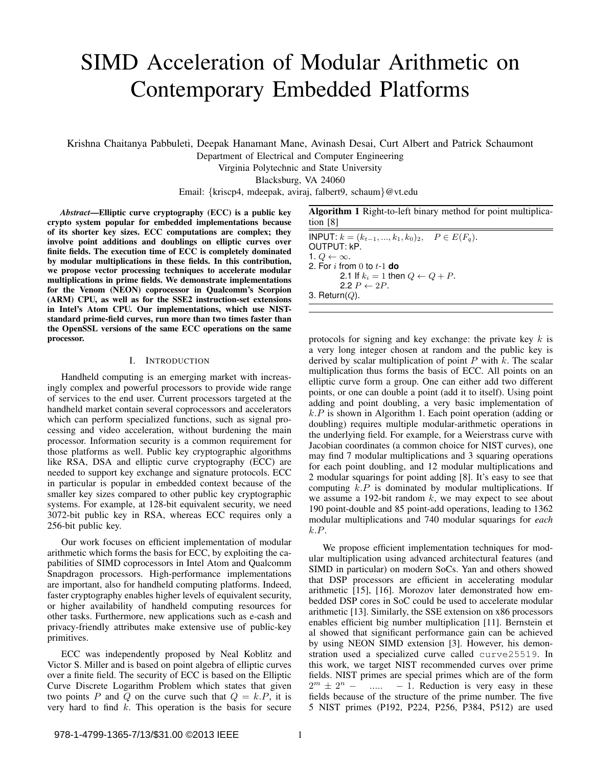# SIMD Acceleration of Modular Arithmetic on Contemporary Embedded Platforms

Krishna Chaitanya Pabbuleti, Deepak Hanamant Mane, Avinash Desai, Curt Albert and Patrick Schaumont

Department of Electrical and Computer Engineering

Virginia Polytechnic and State University

Blacksburg, VA 24060

Email: {kriscp4, mdeepak, aviraj, falbert9, schaum}@vt.edu

*Abstract*—Elliptic curve cryptography (ECC) is a public key crypto system popular for embedded implementations because of its shorter key sizes. ECC computations are complex; they involve point additions and doublings on elliptic curves over finite fields. The execution time of ECC is completely dominated by modular multiplications in these fields. In this contribution, we propose vector processing techniques to accelerate modular multiplications in prime fields. We demonstrate implementations for the Venom (NEON) coprocessor in Qualcomm's Scorpion (ARM) CPU, as well as for the SSE2 instruction-set extensions in Intel's Atom CPU. Our implementations, which use NISTstandard prime-field curves, run more than two times faster than the OpenSSL versions of the same ECC operations on the same processor.

## I. INTRODUCTION

Handheld computing is an emerging market with increasingly complex and powerful processors to provide wide range of services to the end user. Current processors targeted at the handheld market contain several coprocessors and accelerators which can perform specialized functions, such as signal processing and video acceleration, without burdening the main processor. Information security is a common requirement for those platforms as well. Public key cryptographic algorithms like RSA, DSA and elliptic curve cryptography (ECC) are needed to support key exchange and signature protocols. ECC in particular is popular in embedded context because of the smaller key sizes compared to other public key cryptographic systems. For example, at 128-bit equivalent security, we need 3072-bit public key in RSA, whereas ECC requires only a 256-bit public key.

Our work focuses on efficient implementation of modular arithmetic which forms the basis for ECC, by exploiting the capabilities of SIMD coprocessors in Intel Atom and Qualcomm Snapdragon processors. High-performance implementations are important, also for handheld computing platforms. Indeed, faster cryptography enables higher levels of equivalent security, or higher availability of handheld computing resources for other tasks. Furthermore, new applications such as e-cash and privacy-friendly attributes make extensive use of public-key primitives.

ECC was independently proposed by Neal Koblitz and Victor S. Miller and is based on point algebra of elliptic curves over a finite field. The security of ECC is based on the Elliptic Curve Discrete Logarithm Problem which states that given two points P and Q on the curve such that  $Q = k.P$ , it is very hard to find  $k$ . This operation is the basis for secure Algorithm 1 Right-to-left binary method for point multiplication [8]

INPUT:  $k = (k_{t-1}, ..., k_1, k_0)_2$ ,  $P \in E(F_q)$ . OUTPUT: kP. 1.  $Q \leftarrow \infty$ . 2. For i from 0 to t-1 **do** 2.1 If  $k_i = 1$  then  $Q \leftarrow Q + P$ . 2.2  $P \leftarrow 2P$ . 3. Return $(Q)$ .

protocols for signing and key exchange: the private key  $k$  is a very long integer chosen at random and the public key is derived by scalar multiplication of point  $P$  with  $k$ . The scalar multiplication thus forms the basis of ECC. All points on an elliptic curve form a group. One can either add two different points, or one can double a point (add it to itself). Using point adding and point doubling, a very basic implementation of  $k.P$  is shown in Algorithm 1. Each point operation (adding or doubling) requires multiple modular-arithmetic operations in the underlying field. For example, for a Weierstrass curve with Jacobian coordinates (a common choice for NIST curves), one may find 7 modular multiplications and 3 squaring operations for each point doubling, and 12 modular multiplications and 2 modular squarings for point adding [8]. It's easy to see that computing  $k.P$  is dominated by modular multiplications. If we assume a 192-bit random  $k$ , we may expect to see about 190 point-double and 85 point-add operations, leading to 1362 modular multiplications and 740 modular squarings for *each*  $k.P.$ 

We propose efficient implementation techniques for modular multiplication using advanced architectural features (and SIMD in particular) on modern SoCs. Yan and others showed that DSP processors are efficient in accelerating modular arithmetic [15], [16]. Morozov later demonstrated how embedded DSP cores in SoC could be used to accelerate modular arithmetic [13]. Similarly, the SSE extension on x86 processors enables efficient big number multiplication [11]. Bernstein et al showed that significant performance gain can be achieved by using NEON SIMD extension [3]. However, his demonstration used a specialized curve called curve25519. In this work, we target NIST recommended curves over prime fields. NIST primes are special primes which are of the form  $2^m \pm 2$  $\dots$  − 1. Reduction is very easy in these fields because of the structure of the prime number. The five 5 NIST primes (P192, P224, P256, P384, P512) are used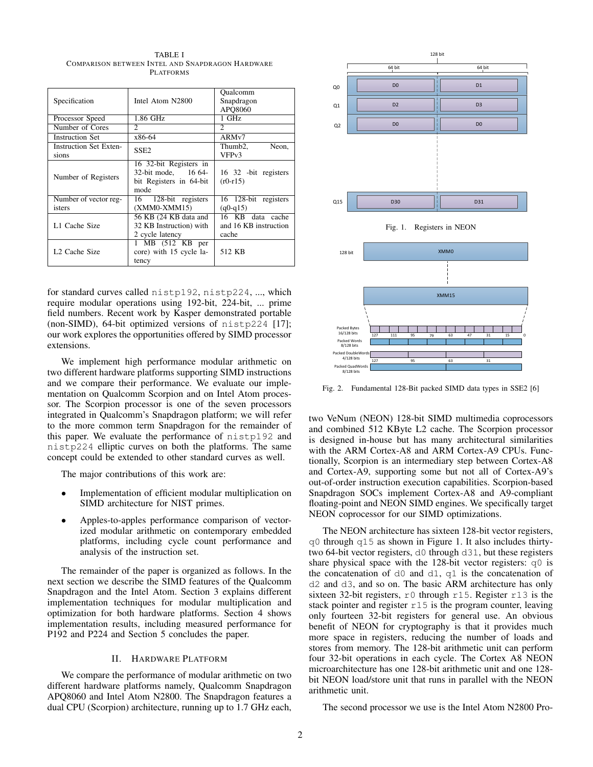| Specification                          | Intel Atom N2800                                                                 | Oualcomm<br>Snapdragon<br>APO8060                  |
|----------------------------------------|----------------------------------------------------------------------------------|----------------------------------------------------|
| Processor Speed                        | 1.86 GHz                                                                         | 1 GHz                                              |
| Number of Cores                        | $\mathfrak{D}$                                                                   | 2                                                  |
| <b>Instruction Set</b>                 | x86-64                                                                           | ARMv7                                              |
| <b>Instruction Set Exten-</b><br>sions | SSE <sub>2</sub>                                                                 | Thumb2,<br>Neon.<br>VFP <sub>v</sub> 3             |
| Number of Registers                    | 16 32-bit Registers in<br>32-bit mode. 16 64-<br>bit Registers in 64-bit<br>mode | 16 32 - bit registers<br>$(r0-r15)$                |
| Number of vector reg-<br>isters        | 16 128-bit registers<br>$(XMM0-XMM15)$                                           | 16 128-bit registers<br>$(q0-q15)$                 |
| L1 Cache Size                          | 56 KB (24 KB data and<br>32 KB Instruction) with<br>2 cycle latency              | 16 KB data cache<br>and 16 KB instruction<br>cache |
| L <sub>2</sub> Cache Size              | 1 MB (512 KB per<br>core) with 15 cycle la-<br>tency                             | 512 KB                                             |

TABLE I COMPARISON BETWEEN INTEL AND SNAPDRAGON HARDWARE PLATFORMS

for standard curves called nistp192, nistp224, ..., which require modular operations using 192-bit, 224-bit, ... prime field numbers. Recent work by Kasper demonstrated portable (non-SIMD), 64-bit optimized versions of nistp224 [17]; our work explores the opportunities offered by SIMD processor extensions.

We implement high performance modular arithmetic on two different hardware platforms supporting SIMD instructions and we compare their performance. We evaluate our implementation on Qualcomm Scorpion and on Intel Atom processor. The Scorpion processor is one of the seven processors integrated in Qualcomm's Snapdragon platform; we will refer to the more common term Snapdragon for the remainder of this paper. We evaluate the performance of nistp192 and nistp224 elliptic curves on both the platforms. The same concept could be extended to other standard curves as well.

The major contributions of this work are:

- Implementation of efficient modular multiplication on SIMD architecture for NIST primes.
- Apples-to-apples performance comparison of vectorized modular arithmetic on contemporary embedded platforms, including cycle count performance and analysis of the instruction set.

The remainder of the paper is organized as follows. In the next section we describe the SIMD features of the Qualcomm Snapdragon and the Intel Atom. Section 3 explains different implementation techniques for modular multiplication and optimization for both hardware platforms. Section 4 shows implementation results, including measured performance for P192 and P224 and Section 5 concludes the paper.

## II. HARDWARE PLATFORM

We compare the performance of modular arithmetic on two different hardware platforms namely, Qualcomm Snapdragon APQ8060 and Intel Atom N2800. The Snapdragon features a dual CPU (Scorpion) architecture, running up to 1.7 GHz each,





Fig. 2. Fundamental 128-Bit packed SIMD data types in SSE2 [6]

two VeNum (NEON) 128-bit SIMD multimedia coprocessors and combined 512 KByte L2 cache. The Scorpion processor is designed in-house but has many architectural similarities with the ARM Cortex-A8 and ARM Cortex-A9 CPUs. Functionally, Scorpion is an intermediary step between Cortex-A8 and Cortex-A9, supporting some but not all of Cortex-A9's out-of-order instruction execution capabilities. Scorpion-based Snapdragon SOCs implement Cortex-A8 and A9-compliant floating-point and NEON SIMD engines. We specifically target NEON coprocessor for our SIMD optimizations.

The NEON architecture has sixteen 128-bit vector registers,  $q0$  through  $q15$  as shown in Figure 1. It also includes thirtytwo 64-bit vector registers, d0 through d31, but these registers share physical space with the 128-bit vector registers: q0 is the concatenation of  $d0$  and  $d1$ ,  $q1$  is the concatenation of d2 and d3, and so on. The basic ARM architecture has only sixteen 32-bit registers, r0 through r15. Register r13 is the stack pointer and register  $r15$  is the program counter, leaving only fourteen 32-bit registers for general use. An obvious benefit of NEON for cryptography is that it provides much more space in registers, reducing the number of loads and stores from memory. The 128-bit arithmetic unit can perform four 32-bit operations in each cycle. The Cortex A8 NEON microarchitecture has one 128-bit arithmetic unit and one 128 bit NEON load/store unit that runs in parallel with the NEON arithmetic unit.

The second processor we use is the Intel Atom N2800 Pro-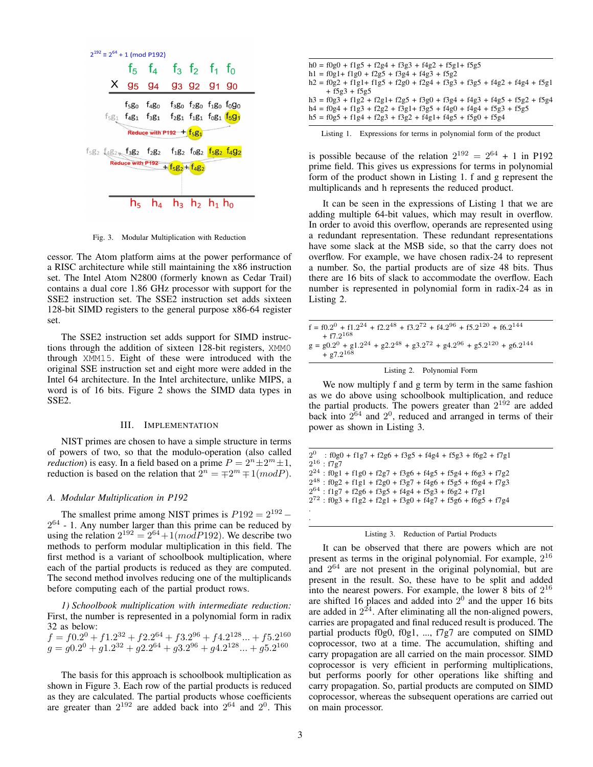

Fig. 3. Modular Multiplication with Reduction

cessor. The Atom platform aims at the power performance of a RISC architecture while still maintaining the x86 instruction set. The Intel Atom N2800 (formerly known as Cedar Trail) contains a dual core 1.86 GHz processor with support for the SSE2 instruction set. The SSE2 instruction set adds sixteen 128-bit SIMD registers to the general purpose x86-64 register set.

The SSE2 instruction set adds support for SIMD instructions through the addition of sixteen 128-bit registers, XMM0 through XMM15. Eight of these were introduced with the original SSE instruction set and eight more were added in the Intel 64 architecture. In the Intel architecture, unlike MIPS, a word is of 16 bits. Figure 2 shows the SIMD data types in SSE2.

### III. IMPLEMENTATION

NIST primes are chosen to have a simple structure in terms of powers of two, so that the modulo-operation (also called *reduction*) is easy. In a field based on a prime  $P = 2^n \pm 2^m \pm 1$ , reduction is based on the relation that  $2^n = \pm 2^m \mp 1 (mod P)$ .

### *A. Modular Multiplication in P192*

The smallest prime among NIST primes is  $P192 = 2^{192} 2^{64}$  - 1. Any number larger than this prime can be reduced by using the relation  $2^{192} = 2^{64} + 1 \pmod{P192}$ . We describe two methods to perform modular multiplication in this field. The first method is a variant of schoolbook multiplication, where each of the partial products is reduced as they are computed. The second method involves reducing one of the multiplicands before computing each of the partial product rows.

*1) Schoolbook multiplication with intermediate reduction:* First, the number is represented in a polynomial form in radix 32 as below:

 $f = f(0.2^0 + f(1.2^{32} + f(2.2^{64} + f(3.2^{96} + f(4.2^{128} \dots + f(5.2^{160})))$  $g = g(0.2^0 + g(1.2^{32} + g(2.2^{64} + g(3.2^{96} + g(4.2^{128}... + g(5.2^{160})))$ 

The basis for this approach is schoolbook multiplication as shown in Figure 3. Each row of the partial products is reduced as they are calculated. The partial products whose coefficients are greater than  $2^{192}$  are added back into  $2^{64}$  and  $2^0$ . This

| $h0 = f0g0 + f1g5 + f2g4 + f3g3 + f4g2 + f5g1 + f5g5$                      |
|----------------------------------------------------------------------------|
| $h1 = f0g1 + f1g0 + f2g5 + f3g4 + f4g3 + f5g2$                             |
| $h2 = f0g2 + f1g1 + f1g5 + f2g0 + f2g4 + f3g3 + f3g5 + f4g2 + f4g4 + f5g1$ |
| $+ f5g3 + f5g5$                                                            |
| $h3 = f0g3 + f1g2 + f2g1 + f2g5 + f3g0 + f3g4 + f4g3 + f4g5 + f5g2 + f5g4$ |
| $h4 = f0g4 + f1g3 + f2g2 + f3g1 + f3g5 + f4g0 + f4g4 + f5g3 + f5g5$        |
| $h5 = f0g5 + f1g4 + f2g3 + f3g2 + f4g1 + f4g5 + f5g0 + f5g4$               |
|                                                                            |

Listing 1. Expressions for terms in polynomial form of the product

is possible because of the relation  $2^{192} = 2^{64} + 1$  in P192 prime field. This gives us expressions for terms in polynomial form of the product shown in Listing 1. f and g represent the multiplicands and h represents the reduced product.

It can be seen in the expressions of Listing 1 that we are adding multiple 64-bit values, which may result in overflow. In order to avoid this overflow, operands are represented using a redundant representation. These redundant representations have some slack at the MSB side, so that the carry does not overflow. For example, we have chosen radix-24 to represent a number. So, the partial products are of size 48 bits. Thus there are 16 bits of slack to accommodate the overflow. Each number is represented in polynomial form in radix-24 as in Listing 2.

| $f = f0.2^{0} + f1.2^{24} + f2.2^{48} + f3.2^{72} + f4.2^{96} + f5.2^{120} + f6.2^{144}$ |
|------------------------------------------------------------------------------------------|
| $+$ f7.2 <sup>168</sup>                                                                  |
| $g = g0.2^{0} + g1.2^{24} + g2.2^{48} + g3.2^{72} + g4.2^{96} + g5.2^{120} + g6.2^{144}$ |
| $+$ g7.2 <sup>168</sup>                                                                  |

Listing 2. Polynomial Form

We now multiply f and g term by term in the same fashion as we do above using schoolbook multiplication, and reduce the partial products. The powers greater than  $2^{192}$  are added back into  $2^{64}$  and  $2^0$ , reduced and arranged in terms of their power as shown in Listing 3.

|   |                |  |  |  |  | $20$ : f0g0 + f1g7 + f2g6 + f3g5 + f4g4 + f5g3 + f6g2 + f7g1     |  |  |  |
|---|----------------|--|--|--|--|------------------------------------------------------------------|--|--|--|
|   | $2^{16}:$ f7g7 |  |  |  |  |                                                                  |  |  |  |
|   |                |  |  |  |  | $2^{24}$ : f0g1 + f1g0 + f2g7 + f3g6 + f4g5 + f5g4 + f6g3 + f7g2 |  |  |  |
|   |                |  |  |  |  | $2^{48}$ : f0g2 + f1g1 + f2g0 + f3g7 + f4g6 + f5g5 + f6g4 + f7g3 |  |  |  |
|   |                |  |  |  |  | $2^{64}$ : f1g7 + f2g6 + f3g5 + f4g4 + f5g3 + f6g2 + f7g1        |  |  |  |
|   |                |  |  |  |  | $2^{72}$ : f0g3 + f1g2 + f2g1 + f3g0 + f4g7 + f5g6 + f6g5 + f7g4 |  |  |  |
| ٠ |                |  |  |  |  |                                                                  |  |  |  |
|   |                |  |  |  |  |                                                                  |  |  |  |

Listing 3. Reduction of Partial Products

It can be observed that there are powers which are not present as terms in the original polynomial. For example,  $2^{16}$ and  $2^{64}$  are not present in the original polynomial, but are present in the result. So, these have to be split and added into the nearest powers. For example, the lower 8 bits of  $2^{16}$ are shifted 16 places and added into  $2^0$  and the upper 16 bits are added in  $2^{24}$ . After eliminating all the non-aligned powers, carries are propagated and final reduced result is produced. The partial products f0g0, f0g1, ..., f7g7 are computed on SIMD coprocessor, two at a time. The accumulation, shifting and carry propagation are all carried on the main processor. SIMD coprocessor is very efficient in performing multiplications, but performs poorly for other operations like shifting and carry propagation. So, partial products are computed on SIMD coprocessor, whereas the subsequent operations are carried out on main processor.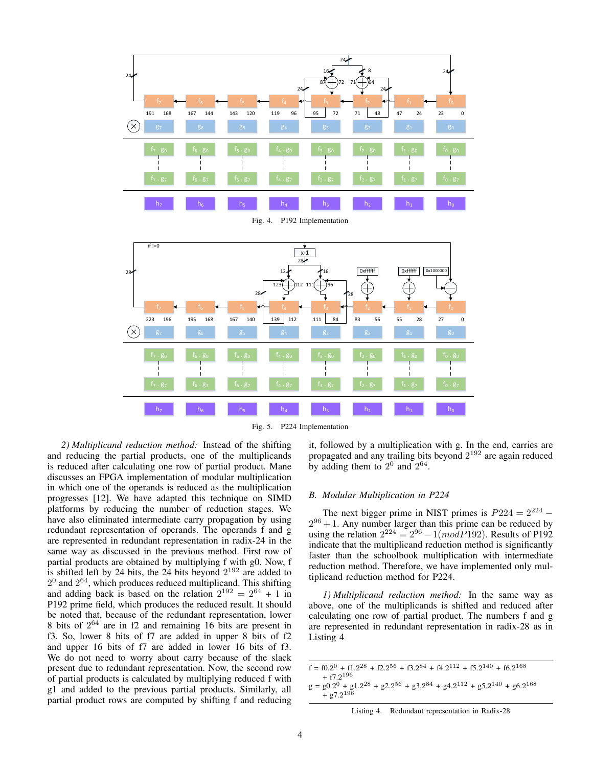



Fig. 5. P224 Implementation

*2) Multiplicand reduction method:* Instead of the shifting and reducing the partial products, one of the multiplicands is reduced after calculating one row of partial product. Mane discusses an FPGA implementation of modular multiplication in which one of the operands is reduced as the multiplication progresses [12]. We have adapted this technique on SIMD platforms by reducing the number of reduction stages. We have also eliminated intermediate carry propagation by using redundant representation of operands. The operands f and g are represented in redundant representation in radix-24 in the same way as discussed in the previous method. First row of partial products are obtained by multiplying f with g0. Now, f is shifted left by 24 bits, the  $24$  bits beyond  $2^{192}$  are added to  $2<sup>0</sup>$  and  $2<sup>64</sup>$ , which produces reduced multiplicand. This shifting and adding back is based on the relation  $2^{192} = 2^{64} + 1$  in P192 prime field, which produces the reduced result. It should be noted that, because of the redundant representation, lower 8 bits of  $2^{64}$  are in f2 and remaining 16 bits are present in f3. So, lower 8 bits of f7 are added in upper 8 bits of f2 and upper 16 bits of f7 are added in lower 16 bits of f3. We do not need to worry about carry because of the slack present due to redundant representation. Now, the second row of partial products is calculated by multiplying reduced f with g1 and added to the previous partial products. Similarly, all partial product rows are computed by shifting f and reducing

it, followed by a multiplication with g. In the end, carries are propagated and any trailing bits beyond  $2^{192}$  are again reduced by adding them to  $2^0$  and  $2^{64}$ .

# *B. Modular Multiplication in P224*

The next bigger prime in NIST primes is  $P224 = 2^{224} 2^{96} + 1$ . Any number larger than this prime can be reduced by using the relation  $2^{224} = 2^{96} - 1 \pmod{P192}$ . Results of P192 indicate that the multiplicand reduction method is significantly faster than the schoolbook multiplication with intermediate reduction method. Therefore, we have implemented only multiplicand reduction method for P224.

*1) Multiplicand reduction method:* In the same way as above, one of the multiplicands is shifted and reduced after calculating one row of partial product. The numbers f and g are represented in redundant representation in radix-28 as in Listing 4

| $f = f0.2^{0} + f1.2^{28} + f2.2^{56} + f3.2^{84} + f4.2^{112} + f5.2^{140} + f6.2^{168}$ |  |
|-------------------------------------------------------------------------------------------|--|
| $+$ f7.2 <sup>196</sup>                                                                   |  |
| $g = g0.2^{0} + g1.2^{28} + g2.2^{56} + g3.2^{84} + g4.2^{112} + g5.2^{140} + g6.2^{168}$ |  |
| $+$ g7.2 <sup>196</sup>                                                                   |  |

Listing 4. Redundant representation in Radix-28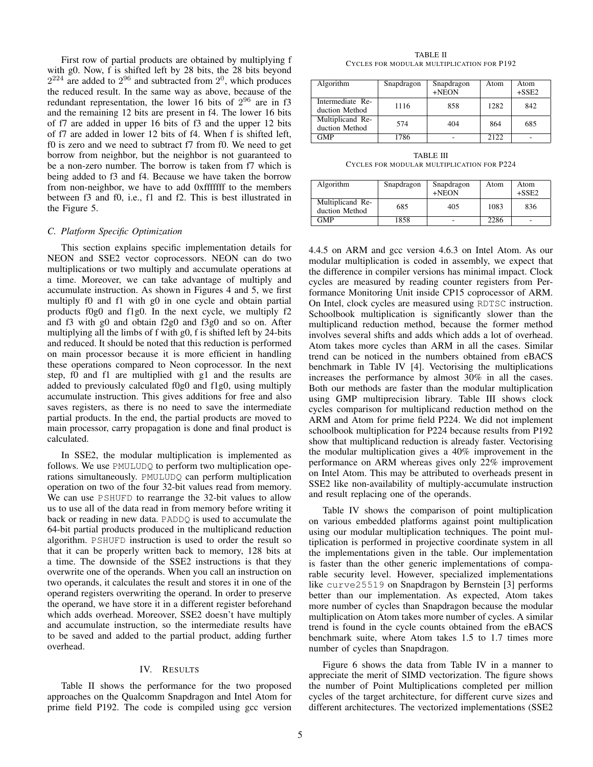First row of partial products are obtained by multiplying f with g0. Now, f is shifted left by 28 bits, the 28 bits beyond  $2^{224}$  are added to  $2^{96}$  and subtracted from  $2^0$ , which produces the reduced result. In the same way as above, because of the redundant representation, the lower 16 bits of  $2^{96}$  are in f3 and the remaining 12 bits are present in f4. The lower 16 bits of f7 are added in upper 16 bits of f3 and the upper 12 bits of f7 are added in lower 12 bits of f4. When f is shifted left, f0 is zero and we need to subtract f7 from f0. We need to get borrow from neighbor, but the neighbor is not guaranteed to be a non-zero number. The borrow is taken from f7 which is being added to f3 and f4. Because we have taken the borrow from non-neighbor, we have to add 0xfffffff to the members between f3 and f0, i.e., f1 and f2. This is best illustrated in the Figure 5.

## *C. Platform Specific Optimization*

This section explains specific implementation details for NEON and SSE2 vector coprocessors. NEON can do two multiplications or two multiply and accumulate operations at a time. Moreover, we can take advantage of multiply and accumulate instruction. As shown in Figures 4 and 5, we first multiply f0 and f1 with g0 in one cycle and obtain partial products f0g0 and f1g0. In the next cycle, we multiply f2 and f3 with g0 and obtain f2g0 and f3g0 and so on. After multiplying all the limbs of f with g0, f is shifted left by 24-bits and reduced. It should be noted that this reduction is performed on main processor because it is more efficient in handling these operations compared to Neon coprocessor. In the next step, f0 and f1 are multiplied with g1 and the results are added to previously calculated f0g0 and f1g0, using multiply accumulate instruction. This gives additions for free and also saves registers, as there is no need to save the intermediate partial products. In the end, the partial products are moved to main processor, carry propagation is done and final product is calculated.

In SSE2, the modular multiplication is implemented as follows. We use PMULUDQ to perform two multiplication operations simultaneously. PMULUDQ can perform multiplication operation on two of the four 32-bit values read from memory. We can use PSHUFD to rearrange the 32-bit values to allow us to use all of the data read in from memory before writing it back or reading in new data. PADDQ is used to accumulate the 64-bit partial products produced in the multiplicand reduction algorithm. PSHUFD instruction is used to order the result so that it can be properly written back to memory, 128 bits at a time. The downside of the SSE2 instructions is that they overwrite one of the operands. When you call an instruction on two operands, it calculates the result and stores it in one of the operand registers overwriting the operand. In order to preserve the operand, we have store it in a different register beforehand which adds overhead. Moreover, SSE2 doesn't have multiply and accumulate instruction, so the intermediate results have to be saved and added to the partial product, adding further overhead.

# IV. RESULTS

Table II shows the performance for the two proposed approaches on the Qualcomm Snapdragon and Intel Atom for prime field P192. The code is compiled using gcc version

TABLE II CYCLES FOR MODULAR MULTIPLICATION FOR P192

| Algorithm                          | Snapdragon | Snapdragon<br>$+NEON$ | Atom | Atom<br>$+SSE2$ |
|------------------------------------|------------|-----------------------|------|-----------------|
| Intermediate Re-<br>duction Method | 1116       | 858                   | 1282 | 842             |
| Multiplicand Re-<br>duction Method | 574        | 404                   | 864  | 685             |
| <b>GMP</b>                         | 1786       |                       | 2122 |                 |

TABLE III CYCLES FOR MODULAR MULTIPLICATION FOR P224

| Algorithm                          | Snapdragon | Snapdragon<br>$+NEON$ | Atom | Atom<br>$+$ SSE2 |
|------------------------------------|------------|-----------------------|------|------------------|
| Multiplicand Re-<br>duction Method | 685        | 405                   | 1083 | 836              |
| <b>GMP</b>                         | 1858       |                       | 2286 |                  |

4.4.5 on ARM and gcc version 4.6.3 on Intel Atom. As our modular multiplication is coded in assembly, we expect that the difference in compiler versions has minimal impact. Clock cycles are measured by reading counter registers from Performance Monitoring Unit inside CP15 coprocessor of ARM. On Intel, clock cycles are measured using RDTSC instruction. Schoolbook multiplication is significantly slower than the multiplicand reduction method, because the former method involves several shifts and adds which adds a lot of overhead. Atom takes more cycles than ARM in all the cases. Similar trend can be noticed in the numbers obtained from eBACS benchmark in Table IV [4]. Vectorising the multiplications increases the performance by almost 30% in all the cases. Both our methods are faster than the modular multiplication using GMP multiprecision library. Table III shows clock cycles comparison for multiplicand reduction method on the ARM and Atom for prime field P224. We did not implement schoolbook multiplication for P224 because results from P192 show that multiplicand reduction is already faster. Vectorising the modular multiplication gives a 40% improvement in the performance on ARM whereas gives only 22% improvement on Intel Atom. This may be attributed to overheads present in SSE2 like non-availability of multiply-accumulate instruction and result replacing one of the operands.

Table IV shows the comparison of point multiplication on various embedded platforms against point multiplication using our modular multiplication techniques. The point multiplication is performed in projective coordinate system in all the implementations given in the table. Our implementation is faster than the other generic implementations of comparable security level. However, specialized implementations like curve25519 on Snapdragon by Bernstein [3] performs better than our implementation. As expected, Atom takes more number of cycles than Snapdragon because the modular multiplication on Atom takes more number of cycles. A similar trend is found in the cycle counts obtained from the eBACS benchmark suite, where Atom takes 1.5 to 1.7 times more number of cycles than Snapdragon.

Figure 6 shows the data from Table IV in a manner to appreciate the merit of SIMD vectorization. The figure shows the number of Point Multiplications completed per million cycles of the target architecture, for different curve sizes and different architectures. The vectorized implementations (SSE2